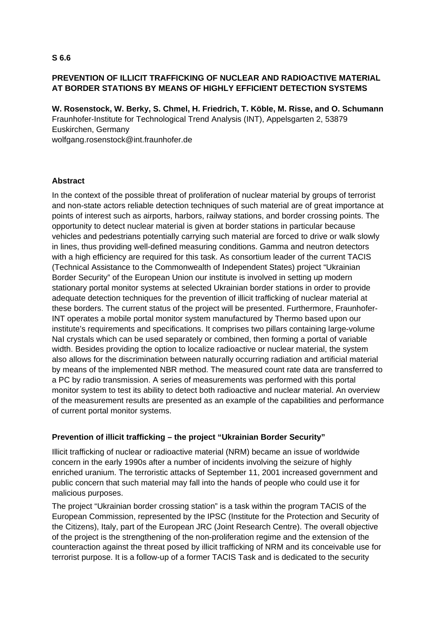## **PREVENTION OF ILLICIT TRAFFICKING OF NUCLEAR AND RADIOACTIVE MATERIAL AT BORDER STATIONS BY MEANS OF HIGHLY EFFICIENT DETECTION SYSTEMS**

**W. Rosenstock, W. Berky, S. Chmel, H. Friedrich, T. Köble, M. Risse, and O. Schumann**  Fraunhofer-Institute for Technological Trend Analysis (INT), Appelsgarten 2, 53879 Euskirchen, Germany wolfgang.rosenstock@int.fraunhofer.de

## **Abstract**

In the context of the possible threat of proliferation of nuclear material by groups of terrorist and non-state actors reliable detection techniques of such material are of great importance at points of interest such as airports, harbors, railway stations, and border crossing points. The opportunity to detect nuclear material is given at border stations in particular because vehicles and pedestrians potentially carrying such material are forced to drive or walk slowly in lines, thus providing well-defined measuring conditions. Gamma and neutron detectors with a high efficiency are required for this task. As consortium leader of the current TACIS (Technical Assistance to the Commonwealth of Independent States) project "Ukrainian Border Security" of the European Union our institute is involved in setting up modern stationary portal monitor systems at selected Ukrainian border stations in order to provide adequate detection techniques for the prevention of illicit trafficking of nuclear material at these borders. The current status of the project will be presented. Furthermore, Fraunhofer-INT operates a mobile portal monitor system manufactured by Thermo based upon our institute's requirements and specifications. It comprises two pillars containing large-volume NaI crystals which can be used separately or combined, then forming a portal of variable width. Besides providing the option to localize radioactive or nuclear material, the system also allows for the discrimination between naturally occurring radiation and artificial material by means of the implemented NBR method. The measured count rate data are transferred to a PC by radio transmission. A series of measurements was performed with this portal monitor system to test its ability to detect both radioactive and nuclear material. An overview of the measurement results are presented as an example of the capabilities and performance of current portal monitor systems.

## **Prevention of illicit trafficking – the project "Ukrainian Border Security"**

Illicit trafficking of nuclear or radioactive material (NRM) became an issue of worldwide concern in the early 1990s after a number of incidents involving the seizure of highly enriched uranium. The terroristic attacks of September 11, 2001 increased government and public concern that such material may fall into the hands of people who could use it for malicious purposes.

The project "Ukrainian border crossing station" is a task within the program TACIS of the European Commission, represented by the IPSC (Institute for the Protection and Security of the Citizens), Italy, part of the European JRC (Joint Research Centre). The overall objective of the project is the strengthening of the non-proliferation regime and the extension of the counteraction against the threat posed by illicit trafficking of NRM and its conceivable use for terrorist purpose. It is a follow-up of a former TACIS Task and is dedicated to the security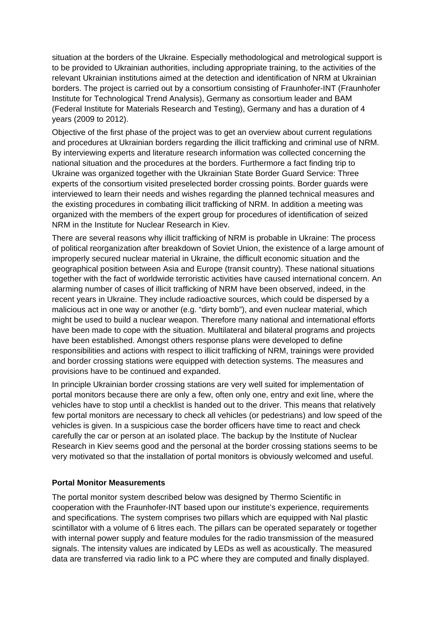situation at the borders of the Ukraine. Especially methodological and metrological support is to be provided to Ukrainian authorities, including appropriate training, to the activities of the relevant Ukrainian institutions aimed at the detection and identification of NRM at Ukrainian borders. The project is carried out by a consortium consisting of Fraunhofer-INT (Fraunhofer Institute for Technological Trend Analysis), Germany as consortium leader and BAM (Federal Institute for Materials Research and Testing), Germany and has a duration of 4 years (2009 to 2012).

Objective of the first phase of the project was to get an overview about current regulations and procedures at Ukrainian borders regarding the illicit trafficking and criminal use of NRM. By interviewing experts and literature research information was collected concerning the national situation and the procedures at the borders. Furthermore a fact finding trip to Ukraine was organized together with the Ukrainian State Border Guard Service: Three experts of the consortium visited preselected border crossing points. Border guards were interviewed to learn their needs and wishes regarding the planned technical measures and the existing procedures in combating illicit trafficking of NRM. In addition a meeting was organized with the members of the expert group for procedures of identification of seized NRM in the Institute for Nuclear Research in Kiev.

There are several reasons why illicit trafficking of NRM is probable in Ukraine: The process of political reorganization after breakdown of Soviet Union, the existence of a large amount of improperly secured nuclear material in Ukraine, the difficult economic situation and the geographical position between Asia and Europe (transit country). These national situations together with the fact of worldwide terroristic activities have caused international concern. An alarming number of cases of illicit trafficking of NRM have been observed, indeed, in the recent years in Ukraine. They include radioactive sources, which could be dispersed by a malicious act in one way or another (e.g. "dirty bomb"), and even nuclear material, which might be used to build a nuclear weapon. Therefore many national and international efforts have been made to cope with the situation. Multilateral and bilateral programs and projects have been established. Amongst others response plans were developed to define responsibilities and actions with respect to illicit trafficking of NRM, trainings were provided and border crossing stations were equipped with detection systems. The measures and provisions have to be continued and expanded.

In principle Ukrainian border crossing stations are very well suited for implementation of portal monitors because there are only a few, often only one, entry and exit line, where the vehicles have to stop until a checklist is handed out to the driver. This means that relatively few portal monitors are necessary to check all vehicles (or pedestrians) and low speed of the vehicles is given. In a suspicious case the border officers have time to react and check carefully the car or person at an isolated place. The backup by the Institute of Nuclear Research in Kiev seems good and the personal at the border crossing stations seems to be very motivated so that the installation of portal monitors is obviously welcomed and useful.

## **Portal Monitor Measurements**

The portal monitor system described below was designed by Thermo Scientific in cooperation with the Fraunhofer-INT based upon our institute's experience, requirements and specifications. The system comprises two pillars which are equipped with NaI plastic scintillator with a volume of 6 litres each. The pillars can be operated separately or together with internal power supply and feature modules for the radio transmission of the measured signals. The intensity values are indicated by LEDs as well as acoustically. The measured data are transferred via radio link to a PC where they are computed and finally displayed.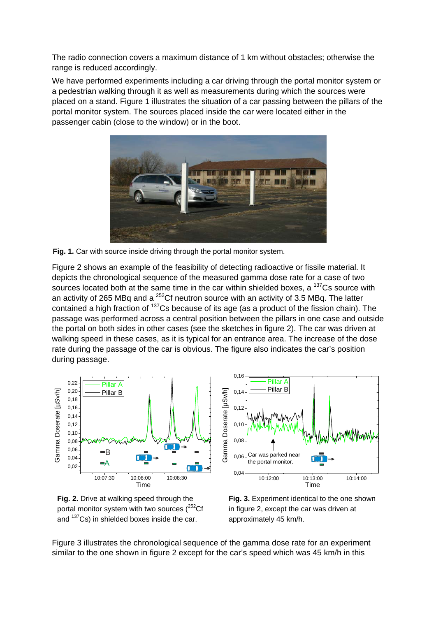The radio connection covers a maximum distance of 1 km without obstacles; otherwise the range is reduced accordingly.

We have performed experiments including a car driving through the portal monitor system or a pedestrian walking through it as well as measurements during which the sources were placed on a stand. Figure 1 illustrates the situation of a car passing between the pillars of the portal monitor system. The sources placed inside the car were located either in the passenger cabin (close to the window) or in the boot.



**Fig. 1.** Car with source inside driving through the portal monitor system.

Figure 2 shows an example of the feasibility of detecting radioactive or fissile material. It depicts the chronological sequence of the measured gamma dose rate for a case of two sources located both at the same time in the car within shielded boxes, a  $137Cs$  source with an activity of 265 MBq and a  $^{252}$ Cf neutron source with an activity of 3.5 MBq. The latter contained a high fraction of <sup>137</sup>Cs because of its age (as a product of the fission chain). The passage was performed across a central position between the pillars in one case and outside the portal on both sides in other cases (see the sketches in figure 2). The car was driven at walking speed in these cases, as it is typical for an entrance area. The increase of the dose rate during the passage of the car is obvious. The figure also indicates the car's position during passage.







**Fig. 3.** Experiment identical to the one shown in figure 2, except the car was driven at approximately 45 km/h.

Figure 3 illustrates the chronological sequence of the gamma dose rate for an experiment similar to the one shown in figure 2 except for the car's speed which was 45 km/h in this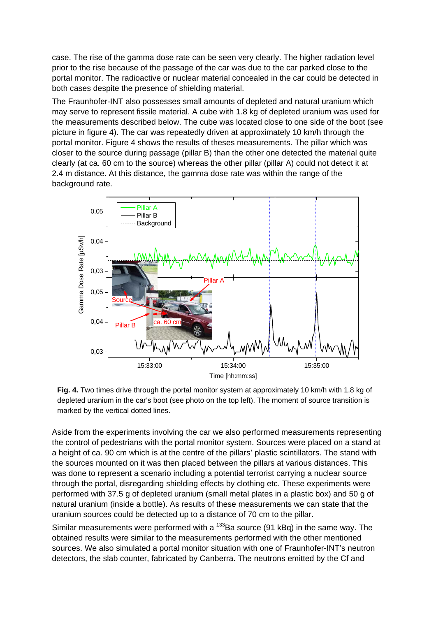case. The rise of the gamma dose rate can be seen very clearly. The higher radiation level prior to the rise because of the passage of the car was due to the car parked close to the portal monitor. The radioactive or nuclear material concealed in the car could be detected in both cases despite the presence of shielding material.

The Fraunhofer-INT also possesses small amounts of depleted and natural uranium which may serve to represent fissile material. A cube with 1.8 kg of depleted uranium was used for the measurements described below. The cube was located close to one side of the boot (see picture in figure 4). The car was repeatedly driven at approximately 10 km/h through the portal monitor. Figure 4 shows the results of theses measurements. The pillar which was closer to the source during passage (pillar B) than the other one detected the material quite clearly (at ca. 60 cm to the source) whereas the other pillar (pillar A) could not detect it at 2.4 m distance. At this distance, the gamma dose rate was within the range of the background rate.



**Fig. 4.** Two times drive through the portal monitor system at approximately 10 km/h with 1.8 kg of depleted uranium in the car's boot (see photo on the top left). The moment of source transition is marked by the vertical dotted lines.

Aside from the experiments involving the car we also performed measurements representing the control of pedestrians with the portal monitor system. Sources were placed on a stand at a height of ca. 90 cm which is at the centre of the pillars' plastic scintillators. The stand with the sources mounted on it was then placed between the pillars at various distances. This was done to represent a scenario including a potential terrorist carrying a nuclear source through the portal, disregarding shielding effects by clothing etc. These experiments were performed with 37.5 g of depleted uranium (small metal plates in a plastic box) and 50 g of natural uranium (inside a bottle). As results of these measurements we can state that the uranium sources could be detected up to a distance of 70 cm to the pillar.

Similar measurements were performed with a  $133$ Ba source (91 kBq) in the same way. The obtained results were similar to the measurements performed with the other mentioned sources. We also simulated a portal monitor situation with one of Fraunhofer-INT's neutron detectors, the slab counter, fabricated by Canberra. The neutrons emitted by the Cf and